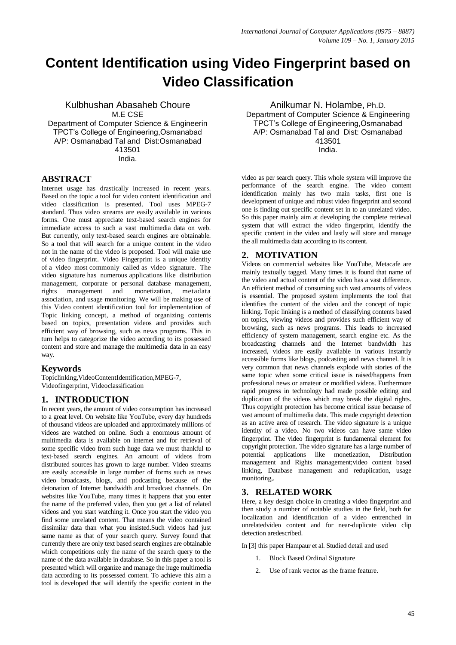# **Content Identification using Video Fingerprint based on Video Classification**

Kulbhushan Abasaheb Choure M.E CSE Department of Computer Science & Engineerin TPCT's College of Engineering,Osmanabad A/P: Osmanabad Tal and Dist:Osmanabad 413501 India.

# **ABSTRACT**

Internet usage has drastically increased in recent years. Based on the topic a tool for video content identification and video classification is presented. Tool uses MPEG-7 standard. Thus video streams are easily available in various forms. One must appreciate text-based search engines for immediate access to such a vast multimedia data on web. But currently, only text-based search engines are obtainable. So a tool that will search for a unique content in the video not in the name of the video is proposed. Tool will make use of video fingerprint. Video Fingerprint is a unique identity of a video most commonly called as video signature. The video signature has numerous applications like distribution management, corporate or personal database management, rights management and monetization, metadata association, and usage monitoring. We will be making use of this Video content identification tool for implementation of Topic linking concept, a method of organizing contents based on topics, presentation videos and provides such efficient way of browsing, such as news programs. This in turn helps to categorize the video according to its possessed content and store and manage the multimedia data in an easy way.

### **Keywords**

Topiclinking,VideoContentIdentification,MPEG-7, Videofingerprint, Videoclassification

# **1. INTRODUCTION**

In recent years, the amount of video consumption has increased to a great level. On website like YouTube, every day hundreds of thousand videos are uploaded and approximately millions of videos are watched on online. Such a enormous amount of multimedia data is available on internet and for retrieval of some specific video from such huge data we must thankful to text-based search engines. An amount of videos from distributed sources has grown to large number. Video streams are easily accessible in large number of forms such as news video broadcasts, blogs, and podcasting because of the detonation of Internet bandwidth and broadcast channels. On websites like YouTube, many times it happens that you enter the name of the preferred video, then you get a list of related videos and you start watching it. Once you start the video you find some unrelated content. That means the video contained dissimilar data than what you insisted.Such videos had just same name as that of your search query. Survey found that currently there are only text based search engines are obtainable which competitions only the name of the search query to the name of the data available in database. So in this paper a tool is presented which will organize and manage the huge multimedia data according to its possessed content. To achieve this aim a tool is developed that will identify the specific content in the

Anilkumar N. Holambe, Ph.D. Department of Computer Science & Engineering TPCT's College of Engineering,Osmanabad A/P: Osmanabad Tal and Dist: Osmanabad 413501 India.

video as per search query. This whole system will improve the performance of the search engine. The video content identification mainly has two main tasks, first one is development of unique and robust video fingerprint and second one is finding out specific content set in to an unrelated video. So this paper mainly aim at developing the complete retrieval system that will extract the video fingerprint, identify the specific content in the video and lastly will store and manage the all multimedia data according to its content.

# **2. MOTIVATION**

Videos on commercial websites like YouTube, Metacafe are mainly textually tagged. Many times it is found that name of the video and actual content of the video has a vast difference. An efficient method of consuming such vast amounts of videos is essential. The proposed system implements the tool that identifies the content of the video and the concept of topic linking. Topic linking is a method of classifying contents based on topics, viewing videos and provides such efficient way of browsing, such as news programs. This leads to increased efficiency of system management, search engine etc. As the broadcasting channels and the Internet bandwidth has increased, videos are easily available in various instantly accessible forms like blogs, podcasting and news channel. It is very common that news channels explode with stories of the same topic when some critical issue is raised/happens from professional news or amateur or modified videos. Furthermore rapid progress in technology had made possible editing and duplication of the videos which may break the digital rights. Thus copyright protection has become critical issue because of vast amount of multimedia data. This made copyright detection as an active area of research. The video signature is a unique identity of a video. No two videos can have same video fingerprint. The video fingerprint is fundamental element for copyright protection. The video signature has a large number of potential applications like monetization, Distribution management and Rights management;video content based linking, Database management and reduplication, usage monitoring,.

# **3. RELATED WORK**

Here, a key design choice in creating a video fingerprint and then study a number of notable studies in the field, both for localization and identification of a video entrenched in unrelatedvideo content and for near-duplicate video clip detection aredescribed.

In [3] this paper Hampaur et al. Studied detail and used

- 1. Block Based Ordinal Signature
- 2. Use of rank vector as the frame feature.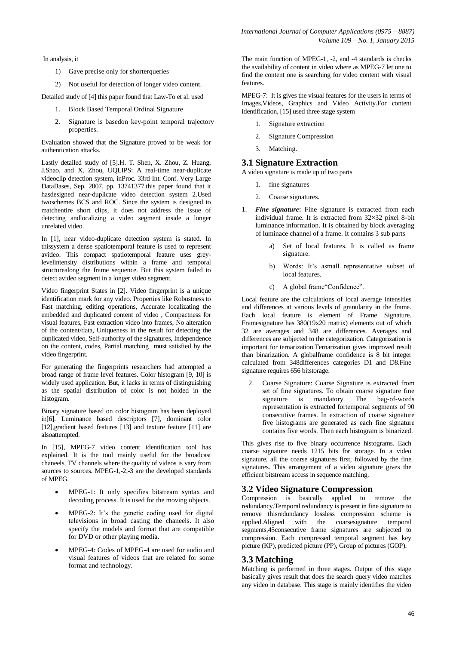In analysis, it

- 1) Gave precise only for shorterqueries
- 2) Not useful for detection of longer video content.

Detailed study of [4] this paper found that Law-To et al. used

- 1. Block Based Temporal Ordinal Signature
- 2. Signature is basedon key-point temporal trajectory properties.

Evaluation showed that the Signature proved to be weak for authentication attacks.

Lastly detailed study of [5].H. T. Shen, X. Zhou, Z. Huang, J.Shao, and X. Zhou, UQLIPS: A real-time near-duplicate videoclip detection system, inProc. 33rd Int. Conf. Very Large DataBases, Sep. 2007, pp. 13741377.this paper found that it hasdesigned near-duplicate video detection system 2.Used twoschemes BCS and ROC. Since the system is designed to matchentire short clips, it does not address the issue of detecting andlocalizing a video segment inside a longer unrelated video.

In [1], near video-duplicate detection system is stated. In thissystem a dense spatiotemporal feature is used to represent avideo. This compact spatiotemporal feature uses greylevelintensity distributions within a frame and temporal structurealong the frame sequence. But this system failed to detect avideo segment in a longer video segment.

Video fingerprint States in [2]. Video fingerprint is a unique identification mark for any video. Properties like Robustness to Fast matching, editing operations, Accurate localizating the embedded and duplicated content of video , Compactness for visual features, Fast extraction video into frames, No alteration of the content/data, Uniqueness in the result for detecting the duplicated video, Self-authority of the signatures, Independence on the content, codes, Partial matching must satisfied by the video fingerprint.

For generating the fingerprints researchers had attempted a broad range of frame level features. Color histogram [9, 10] is widely used application. But, it lacks in terms of distinguishing as the spatial distribution of color is not holded in the histogram.

Binary signature based on color histogram has been deployed in[6]. Luminance based descriptors [7], dominant color [12],gradient based features [13] and texture feature [11] are alsoattempted.

In [15], MPEG-7 video content identification tool has explained. It is the tool mainly useful for the broadcast chaneels, TV channels where the quality of videos is vary from sources to sources. MPEG-1,-2,-3 are the developed standards of MPEG.

- MPEG-1: It only specifies bitstream syntax and decoding process. It is used for the moving objects.
- MPEG-2: It's the genetic coding used for digital televisions in broad casting the chaneels. It also specify the models and format that are compatible for DVD or other playing media.
- MPEG-4: Codes of MPEG-4 are used for audio and visual features of videos that are related for some format and technology.

The main function of MPEG-1, -2, and -4 standards is checks the availability of content in video where as MPEG-7 let one to find the content one is searching for video content with visual features.

MPEG-7: It is gives the visual features for the users in terms of Images,Videos, Graphics and Video Activity.For content identification, [15] used three stage system

- 1. Signature extraction
- 2. Signature Compression
- 3. Matching.

## **3.1 Signature Extraction**

A video signature is made up of two parts

- 1. fine signatures
- 2. Coarse signatures.
- 1. *Fine signature***:** Fine signature is extracted from each individual frame. It is extracted from 32×32 pixel 8-bit luminance information. It is obtained by block averaging of luminace channel of a frame. It contains 3 sub parts
	- a) Set of local features. It is called as frame signature.
	- b) Words: It's asmall representative subset of local features.
	- c) A global frame"Confidence".

Local feature are the calculations of local average intensities and differences at various levels of granularity in the frame. Each local feature is element of Frame Signature. Framesignature has 380(19x20 matrix) elements out of which 32 are averages and 348 are differences. Averages and differences are subjected to the categorization. Categorization is important for ternarization.Ternarization gives improved result than binarization. A globalframe confidence is 8 bit integer calculated from 348differences categories D1 and D8.Fine signature requires 656 bitstorage.

2. Coarse Signature: Coarse Signature is extracted from set of fine signatures. To obtain coarse signature fine signature is mandatory. The bag-of-words representation is extracted fortemporal segments of 90 consecutive frames. In extraction of coarse signature five histograms are generated as each fine signature contains five words. Then each histogram is binarized.

This gives rise to five binary occurrence histograms. Each coarse signature needs 1215 bits for storage. In a video signature, all the coarse signatures first, followed by the fine signatures. This arrangement of a video signature gives the efficient bitstream access in sequence matching.

### **3.2 Video Signature Compression**

Compression is basically applied to remove the redundancy.Temporal redundancy is present in fine signature to remove thisredundancy lossless compression scheme is applied.Aligned with the coarsesignature temporal segments,45consecutive frame signatures are subjected to compression. Each compressed temporal segment has key picture (KP), predicted picture (PP), Group of pictures (GOP).

### **3.3 Matching**

Matching is performed in three stages. Output of this stage basically gives result that does the search query video matches any video in database. This stage is mainly identifies the video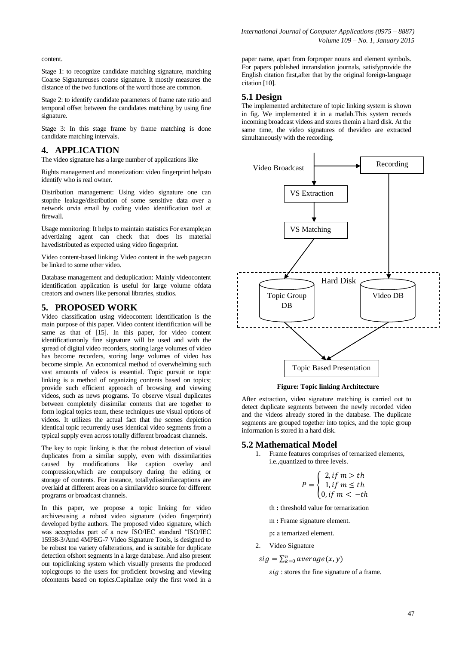content.

Stage 1: to recognize candidate matching signature, matching Coarse Signatureuses coarse signature. It mostly measures the distance of the two functions of the word those are common.

Stage 2: to identify candidate parameters of frame rate ratio and temporal offset between the candidates matching by using fine signature.

Stage 3: In this stage frame by frame matching is done candidate matching intervals.

# **4. APPLICATION**

The video signature has a large number of applications like

Rights management and monetization: video fingerprint helpsto identify who is real owner.

Distribution management: Using video signature one can stopthe leakage/distribution of some sensitive data over a network orvia email by coding video identification tool at firewall.

Usage monitoring: It helps to maintain statistics For example;an advertizing agent can check that does its material havedistributed as expected using video fingerprint.

Video content-based linking: Video content in the web pagecan be linked to some other video.

Database management and deduplication: Mainly videocontent identification application is useful for large volume ofdata creators and owners like personal libraries, studios.

#### **5. PROPOSED WORK**

Video classification using videocontent identification is the main purpose of this paper. Video content identification will be same as that of [15]. In this paper, for video content identificationonly fine signature will be used and with the spread of digital video recorders, storing large volumes of video has become recorders, storing large volumes of video has become simple. An economical method of overwhelming such vast amounts of videos is essential. Topic pursuit or topic linking is a method of organizing contents based on topics; provide such efficient approach of browsing and viewing videos, such as news programs. To observe visual duplicates between completely dissimilar contents that are together to form logical topics team, these techniques use visual options of videos. It utilizes the actual fact that the scenes depiction identical topic recurrently uses identical video segments from a typical supply even across totally different broadcast channels.

The key to topic linking is that the robust detection of visual duplicates from a similar supply, even with dissimilarities caused by modifications like caption overlay and compression,which are compulsory during the editing or storage of contents. For instance, totallydissimilarcaptions are overlaid at different areas on a similarvideo source for different programs or broadcast channels.

In this paper, we propose a topic linking for video archivesusing a robust video signature (video fingerprint) developed bythe authors. The proposed video signature, which was acceptedas part of a new ISO/IEC standard "ISO/IEC 15938-3/Amd 4MPEG-7 Video Signature Tools, is designed to be robust toa variety ofalterations, and is suitable for duplicate detection ofshort segments in a large database. And also present our topiclinking system which visually presents the produced topicgroups to the users for proficient browsing and viewing ofcontents based on topics.Capitalize only the first word in a

paper name, apart from forproper nouns and element symbols. For papers published intranslation journals, satisfyprovide the English citation first,after that by the original foreign-language citation [10].

# **5.1 Design**

The implemented architecture of topic linking system is shown in fig. We implemented it in a matlab.This system records incoming broadcast videos and stores themin a hard disk. At the same time, the video signatures of thevideo are extracted simultaneously with the recording.



**Figure: Topic linking Architecture**

After extraction, video signature matching is carried out to detect duplicate segments between the newly recorded video and the videos already stored in the database. The duplicate segments are grouped together into topics, and the topic group information is stored in a hard disk.

#### **5.2 Mathematical Model**

1. Frame features comprises of ternarized elements, i.e.,quantized to three levels.

$$
P = \begin{cases} 2, if \ m > th \\ 1, if \ m \leq th \\ 0, if \ m < -th \end{cases}
$$

th **:** threshold value for ternarization

m **:** Frame signature element.

p**:** a ternarized element.

2. Video Signature

$$
sig = \sum_{k=0}^{n} average(x, y)
$$

sig: stores the fine signature of a frame.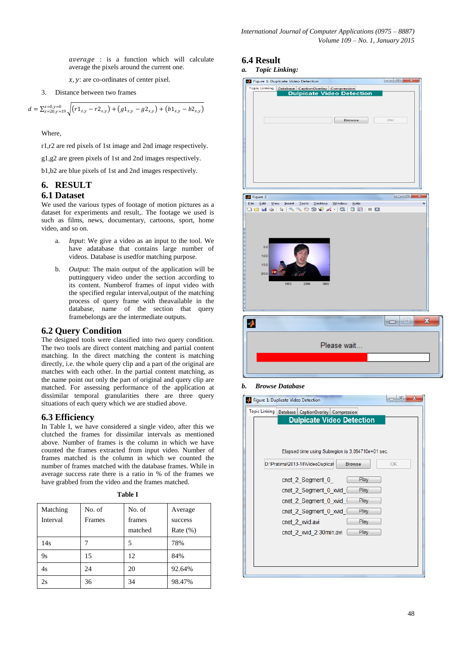average : is a function which will calculate average the pixels around the current one.

 $x, y$ : are co-ordinates of center pixel.

3. Distance between two frames

$$
d = \sum_{x=20,y=19}^{x=0,y=0} \sqrt{(r1_{x,y} - r2_{x,y}) + (g1_{x,y} - g2_{x,y}) + (b1_{x,y} - b2_{x,y})}
$$

Where,

r1,r2 are red pixels of 1st image and 2nd image respectively.

g1,g2 are green pixels of 1st and 2nd images respectively.

b1,b2 are blue pixels of 1st and 2nd images respectively.

# **6. RESULT**

### **6.1 Dataset**

We used the various types of footage of motion pictures as a dataset for experiments and result,. The footage we used is such as films, news, documentary, cartoons, sport, home video, and so on.

- a. *Input*: We give a video as an input to the tool. We have adatabase that contains large number of videos. Database is usedfor matching purpose.
- b. *Output:* The main output of the application will be puttingquery video under the section according to its content. Numberof frames of input video with the specified regular interval,output of the matching process of query frame with theavailable in the database, name of the section that query framebelongs are the intermediate outputs.

# **6.2 Query Condition**

The designed tools were classified into two query condition. The two tools are direct content matching and partial content matching. In the direct matching the content is matching directly, i.e. the whole query clip and a part of the original are matches with each other. In the partial content matching, as the name point out only the part of original and query clip are matched. For assessing performance of the application at dissimilar temporal granularities there are three query situations of each query which we are studied above.

### **6.3 Efficiency**

In Table I, we have considered a single video, after this we clutched the frames for dissimilar intervals as mentioned above. Number of frames is the column in which we have counted the frames extracted from input video. Number of frames matched is the column in which we counted the number of frames matched with the database frames. While in average success rate there is a ratio in % of the frames we have grabbed from the video and the frames matched.

| 'able |
|-------|
|-------|

| Matching<br>Interval | No. of<br>Frames | No. of<br>frames<br>matched | Average<br>success<br>Rate $(\%)$ |
|----------------------|------------------|-----------------------------|-----------------------------------|
| 14s                  |                  | 5                           | 78%                               |
| 9ς                   | 15               | 12                          | 84%                               |
| 4s                   | 24               | 20                          | 92.64%                            |
| 2s                   | 36               | 34                          | 98.47%                            |

# **6.4 Result**

*a. Topic Linking:*

| State Tigure 1: Duplicate Video Detection                                                                             |                                   |
|-----------------------------------------------------------------------------------------------------------------------|-----------------------------------|
|                                                                                                                       |                                   |
| Topic Linking Database   CaptionOverlay   Compression<br><b>COLL DIPICATE Video Detection</b><br><b>Browse</b>        | OK                                |
|                                                                                                                       | $\blacksquare$<br>23              |
| Figure 2                                                                                                              | C.                                |
| Eile Edit View Insert Tools Desktop Window<br>Help<br>18 - <b>} 5 @ @ @ #</b> 1 & 1 @ 1<br>日日<br>$\qquad \qquad \Box$ |                                   |
| 50<br>100<br>150<br>chet<br>200<br>100<br>200<br>300                                                                  |                                   |
|                                                                                                                       | $\overline{\mathbf{x}}$<br>$\Box$ |
| o<br>Please wait                                                                                                      |                                   |
|                                                                                                                       |                                   |

#### *b. Browse Database*

| х<br>$\blacksquare$<br>Figure 1: Duplicate Video Detection |  |                                                   |  |               |      |    |  |
|------------------------------------------------------------|--|---------------------------------------------------|--|---------------|------|----|--|
| <b>Topic Linking</b>                                       |  | Database   CaptionOverlay   Compression           |  |               |      |    |  |
|                                                            |  | <b>Dulpicate Video Detection</b>                  |  |               |      |    |  |
|                                                            |  |                                                   |  |               |      |    |  |
|                                                            |  |                                                   |  |               |      |    |  |
|                                                            |  | Elapsed time using Subregion is 3.094710e+01 sec. |  |               |      |    |  |
|                                                            |  | D:\Pratima\2013-14\VideoDuplicat                  |  | <b>Browse</b> |      | OK |  |
|                                                            |  |                                                   |  |               |      |    |  |
|                                                            |  | cnet 2 Segment 0                                  |  |               | Play |    |  |
|                                                            |  | cnet 2 Segment 0 xvid                             |  |               | Play |    |  |
|                                                            |  | cnet 2 Segment 0 xvid                             |  |               | Play |    |  |
|                                                            |  | cnet 2 Segment 0 xvid                             |  |               | Play |    |  |
|                                                            |  | cnet 2 xvid.avi                                   |  |               | Play |    |  |
|                                                            |  | cnet 2 xvid 2.30min.avi                           |  |               | Play |    |  |
|                                                            |  |                                                   |  |               |      |    |  |
|                                                            |  |                                                   |  |               |      |    |  |
|                                                            |  |                                                   |  |               |      |    |  |
|                                                            |  |                                                   |  |               |      |    |  |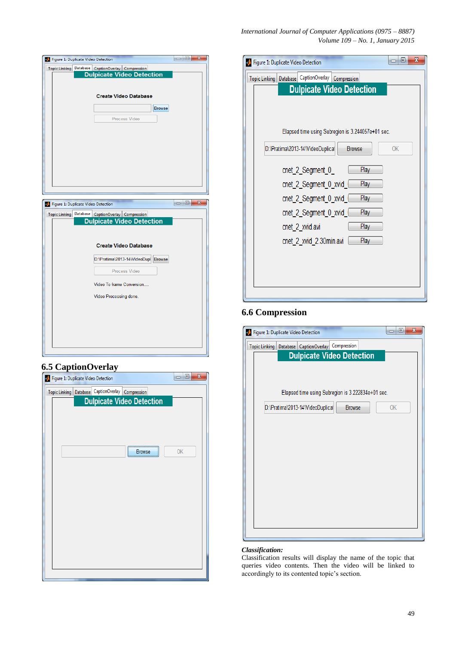| International Journal of Computer Applications (0975 – 8887) |  |                                    |
|--------------------------------------------------------------|--|------------------------------------|
|                                                              |  | Volume $109 - No.$ 1, January 2015 |

| <b>Browse</b><br>$\mathbf{x}$<br>Θ |
|------------------------------------|
|                                    |
|                                    |
|                                    |
|                                    |
|                                    |
|                                    |
|                                    |
|                                    |
|                                    |
|                                    |
|                                    |
|                                    |
|                                    |
|                                    |
|                                    |
|                                    |
|                                    |
|                                    |
|                                    |
|                                    |
|                                    |
|                                    |
|                                    |
|                                    |
|                                    |
|                                    |
|                                    |
|                                    |
|                                    |
|                                    |
|                                    |
| <b>Browse</b>                      |

# **6.5 CaptionOverlay**

| Figure 1: Duplicate Video Detection                     | X<br>▣<br>$\Box$                 |
|---------------------------------------------------------|----------------------------------|
| Topic Linking   Database   CaptionOverlay   Compression |                                  |
|                                                         | <b>Dulpicate Video Detection</b> |
|                                                         |                                  |
|                                                         |                                  |
|                                                         |                                  |
|                                                         |                                  |
|                                                         | OK<br><b>Browse</b>              |
|                                                         |                                  |
|                                                         |                                  |
|                                                         |                                  |
|                                                         |                                  |
|                                                         |                                  |
|                                                         |                                  |
|                                                         |                                  |
|                                                         |                                  |
|                                                         |                                  |
|                                                         |                                  |
|                                                         |                                  |
|                                                         |                                  |

| Figure 1: Duplicate Video Detection                     | $\mathbf x$<br>▣ |
|---------------------------------------------------------|------------------|
| Topic Linking   Database   CaptionOverlay   Compression |                  |
| <b>Dulpicate Video Detection</b>                        |                  |
|                                                         |                  |
|                                                         |                  |
| Elapsed time using Subregion is 3.244057e+01 sec.       |                  |
| D:\Pratima\2013-14\VideoDuplical<br><b>Browse</b>       | OK               |
| Play<br>cnet 2_Segment 0                                |                  |
| Play<br>cnet 2 Segment 0 xvid                           |                  |
| Play<br>cnet_2_Segment_0_xvid_                          |                  |
| Play<br>cnet 2 Segment 0 xvid                           |                  |
| Play<br>cnet_2_xvid.avi                                 |                  |
| cnet 2 xvid 2.30min.avi<br>Play                         |                  |
|                                                         |                  |
|                                                         |                  |
|                                                         |                  |
|                                                         |                  |

# **6.6 Compression**

| Figure 1: Duplicate Video Detection                     | $\overline{\mathbf{x}}$<br>叵<br>▭ |  |  |  |  |
|---------------------------------------------------------|-----------------------------------|--|--|--|--|
| Topic Linking   Database   CaptionOverlay   Compression |                                   |  |  |  |  |
| <b>Dulpicate Video Detection</b>                        |                                   |  |  |  |  |
|                                                         |                                   |  |  |  |  |
|                                                         |                                   |  |  |  |  |
| Elapsed time using Subregion is 3.222834e+01 sec.       |                                   |  |  |  |  |
| D:\Pratima\2013-14\VideoDuplical<br><b>Browse</b>       | OK                                |  |  |  |  |
|                                                         |                                   |  |  |  |  |
|                                                         |                                   |  |  |  |  |
|                                                         |                                   |  |  |  |  |
|                                                         |                                   |  |  |  |  |
|                                                         |                                   |  |  |  |  |
|                                                         |                                   |  |  |  |  |
|                                                         |                                   |  |  |  |  |
|                                                         |                                   |  |  |  |  |
|                                                         |                                   |  |  |  |  |
|                                                         |                                   |  |  |  |  |

# *Classification:*

Classification results will display the name of the topic that queries video contents. Then the video will be linked to accordingly to its contented topic's section.